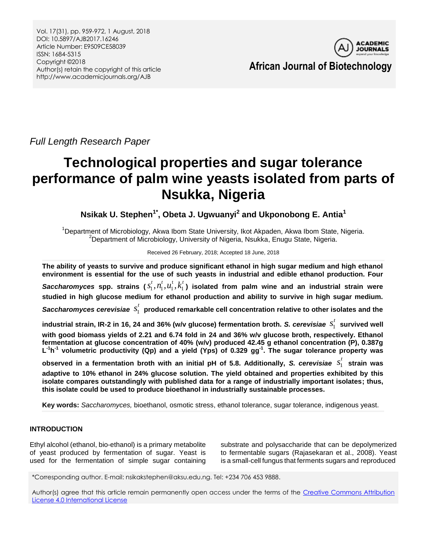Vol. 17(31), pp. 959-972, 1 August, 2018 DOI: 10.5897/AJB2017.16246 Article Number: E9509CE58039 ISSN: 1684-5315 Copyright ©2018 Author(s) retain the copyright of this article http://www.academicjournals.org/AJB



**African Journal of Biotechnology**

*Full Length Research Paper*

# **Technological properties and sugar tolerance performance of palm wine yeasts isolated from parts of Nsukka, Nigeria**

**Nsikak U. Stephen1\* , Obeta J. Ugwuanyi<sup>2</sup> and Ukponobong E. Antia<sup>1</sup>**

<sup>1</sup>Department of Microbiology, Akwa Ibom State University, Ikot Akpaden, Akwa Ibom State, Nigeria. <sup>2</sup>Department of Microbiology, University of Nigeria, Nsukka, Enugu State, Nigeria.

# Received 26 February, 2018; Accepted 18 June, 2018

**The ability of yeasts to survive and produce significant ethanol in high sugar medium and high ethanol environment is essential for the use of such yeasts in industrial and edible ethanol production. Four**  *Saccharomyces* spp. strains ( $s_1^t, n_1^t, u_1^t, k_1^t$ ) isolated from palm wine and an industrial strain were **studied in high glucose medium for ethanol production and ability to survive in high sugar medium.**  *Saccharomyces cerevisiae*  1  $s_{1}^{t}$  produced remarkable cell concentration relative to other isolates and the  $\overline{\phantom{a}}$ 

**industrial strain, IR-2 in 16, 24 and 36% (w/v glucose) fermentation broth.** *S. cerevisiae*  1  $s_1^t$  survived well **with good biomass yields of 2.21 and 6.74 fold in 24 and 36% w/v glucose broth, respectively. Ethanol fermentation at glucose concentration of 40% (w/v) produced 42.45 g ethanol concentration (P), 0.387g L -1 h -1 volumetric productivity (Qp) and a yield (Yps) of 0.329 gg-1 . The sugar tolerance property was** 

**observed in a fermentation broth with an initial pH of 5.8. Additionally,** *S. cerevisiae* 1  $s_1^t$  strain was **adaptive to 10% ethanol in 24% glucose solution. The yield obtained and properties exhibited by this isolate compares outstandingly with published data for a range of industrially important isolates; thus, this isolate could be used to produce bioethanol in industrially sustainable processes.**

**Key words:** *Saccharomyces,* bioethanol, osmotic stress, ethanol tolerance, sugar tolerance, indigenous yeast.

# **INTRODUCTION**

Ethyl alcohol (ethanol, bio-ethanol) is a primary metabolite of yeast produced by fermentation of sugar. Yeast is used for the fermentation of simple sugar containing

substrate and polysaccharide that can be depolymerized to fermentable sugars (Rajasekaran et al., 2008). Yeast is a small-cell fungus that ferments sugars and reproduced

\*Corresponding author. E-mail: nsikakstephen@aksu.edu.ng. Tel: +234 706 453 9888.

Author(s) agree that this article remain permanently open access under the terms of the Creative Commons Attribution [License 4.0 International License](http://creativecommons.org/licenses/by/4.0/deed.en_US)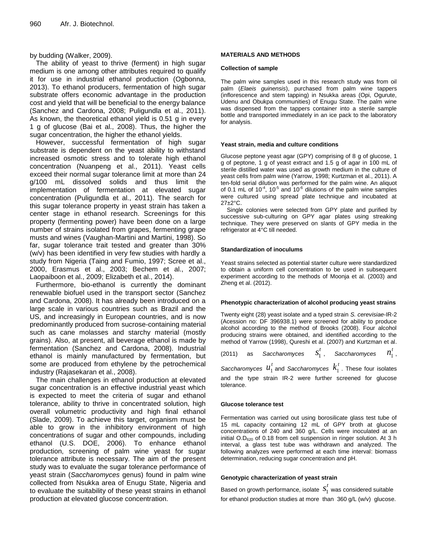by budding (Walker, 2009).

The ability of yeast to thrive (ferment) in high sugar medium is one among other attributes required to qualify it for use in industrial ethanol production (Ogbonna, 2013). To ethanol producers, fermentation of high sugar substrate offers economic advantage in the production cost and yield that will be beneficial to the energy balance (Sanchez and Cardona, 2008; Puligundla et al., 2011). As known, the theoretical ethanol yield is 0.51 g in every 1 g of glucose (Bai et al., 2008). Thus, the higher the sugar concentration, the higher the ethanol yields.

However, successful fermentation of high sugar substrate is dependent on the yeast ability to withstand increased osmotic stress and to tolerate high ethanol concentration (Nuanpeng et al., 2011). Yeast cells exceed their normal sugar tolerance limit at more than 24 g/100 mL dissolved solids and thus limit the implementation of fermentation at elevated sugar concentration (Puligundla et al., 2011). The search for this sugar tolerance property in yeast strain has taken a center stage in ethanol research. Screenings for this property (fermenting power) have been done on a large number of strains isolated from grapes, fermenting grape musts and wines (Vaughan-Martini and Martini, 1998). So far, sugar tolerance trait tested and greater than 30% (w/v) has been identified in very few studies with hardly a study from Nigeria (Taing and Fumio, 1997; Scree et al., 2000, Erasmus et al., 2003; Bechem et al., 2007; Laopaiboon et al., 2009; Elizabeth et al., 2014).

Furthermore, bio-ethanol is currently the dominant renewable biofuel used in the transport sector (Sanchez and Cardona, 2008). It has already been introduced on a large scale in various countries such as Brazil and the US, and increasingly in European countries, and is now predominantly produced from sucrose-containing material such as cane molasses and starchy material (mostly grains). Also, at present, all beverage ethanol is made by fermentation (Sanchez and Cardona, 2008). Industrial ethanol is mainly manufactured by fermentation, but some are produced from ethylene by the petrochemical industry (Rajasekaran et al., 2008).

The main challenges in ethanol production at elevated sugar concentration is an effective industrial yeast which is expected to meet the criteria of sugar and ethanol tolerance, ability to thrive in concentrated solution, high overall volumetric productivity and high final ethanol (Slade, 2009). To achieve this target, organism must be able to grow in the inhibitory environment of high concentrations of sugar and other compounds, including ethanol (U.S. DOE, 2006). To enhance ethanol production, screening of palm wine yeast for sugar tolerance attribute is necessary. The aim of the present study was to evaluate the sugar tolerance performance of yeast strain (*Saccharomyces* genus) found in palm wine collected from Nsukka area of Enugu State, Nigeria and to evaluate the suitability of these yeast strains in ethanol production at elevated glucose concentration.

# **MATERIALS AND METHODS**

# **Collection of sample**

The palm wine samples used in this research study was from oil palm (*Elaeis guinensis*), purchased from palm wine tappers (inflorescence and stem tapping) in Nsukka areas (Opi, Ogurute, Udenu and Obukpa communities) of Enugu State. The palm wine was dispensed from the tappers container into a sterile sample bottle and transported immediately in an ice pack to the laboratory for analysis.

# **Yeast strain, media and culture conditions**

Glucose peptone yeast agar (GPY) comprising of 8 g of glucose, 1 g of peptone, 1 g of yeast extract and 1.5 g of agar in 100 mL of sterile distilled water was used as growth medium in the culture of yeast cells from palm wine (Yarrow, 1998; Kurtzman et al., 2011). A ten-fold serial dilution was performed for the palm wine. An aliquot of 0.1 mL of  $10^{-4}$ ,  $10^{-5}$  and  $10^{-6}$  dilutions of the palm wine samples were cultured using spread plate technique and incubated at 27±2°C.

Single colonies were selected from GPY plate and purified by successive sub-culturing on GPY agar plates using streaking technique. They were preserved on slants of GPY media in the refrigerator at 4°C till needed.

## **Standardization of inoculums**

Yeast strains selected as potential starter culture were standardized to obtain a uniform cell concentration to be used in subsequent experiment according to the methods of Moonja et al. (2003) and Zheng et al. (2012).

# **Phenotypic characterization of alcohol producing yeast strains**

Twenty eight (28) yeast isolate and a typed strain *S. cerevisiae*-IR-2 (Acession no: DF 396938.1) were screened for ability to produce alcohol according to the method of Brooks (2008). Four alcohol producing strains were obtained, and identified according to the method of Yarrow (1998), Qureshi et al. (2007) and Kurtzman et al.

(2011) as *Saccharomyces* 1  $s_1^t$  , Saccharomyces  $n_1^t$  $n_1^t$ ,

*Saccharomyces* 1  $u_1^{\, t}$  and *Saccharomyces*  $\,k_1^{\, t}$  $k_1^t$  . These four isolates and the type strain IR-2 were further screened for glucose tolerance.

#### **Glucose tolerance test**

Fermentation was carried out using borosilicate glass test tube of 15 mL capacity containing 12 mL of GPY broth at glucose concentrations of 240 and 360 g/L. Cells were inoculated at an initial O.D<sup>620</sup> of 0.18 from cell suspension in ringer solution. At 3 h interval, a glass test tube was withdrawn and analyzed. The following analyzes were performed at each time interval: biomass determination, reducing sugar concentration and pH.

# **Genotypic characterization of yeast strain**

Based on growth performance, isolate  $\,S_1^{\phantom i}\,$  $s_{\scriptscriptstyle 1}^{\scriptscriptstyle t}$  was considered suitable for ethanol production studies at more than 360 g/L (w/v) glucose.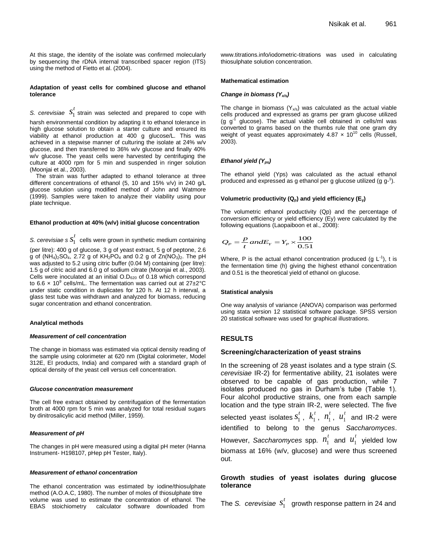At this stage, the identity of the isolate was confirmed molecularly by sequencing the rDNA internal transcribed spacer region (ITS) using the method of Fietto et al. (2004).

## **Adaptation of yeast cells for combined glucose and ethanol tolerance**

*S. cerevisiae* 1  $s<sub>1</sub><sup>t</sup>$  strain was selected and prepared to cope with

harsh environmental condition by adapting it to ethanol tolerance in high glucose solution to obtain a starter culture and ensured its viability at ethanol production at 400 g glucose/L. This was achieved in a stepwise manner of culturing the isolate at 24% w/v glucose, and then transferred to 36% w/v glucose and finally 40% w/v glucose. The yeast cells were harvested by centrifuging the culture at 4000 rpm for 5 min and suspended in ringer solution (Moonjai et al., 2003).

The strain was further adapted to ethanol tolerance at three different concentrations of ethanol (5, 10 and 15% v/v) in 240 g/L glucose solution using modified method of John and Watmore (1999). Samples were taken to analyze their viability using pour plate technique.

#### **Ethanol production at 40% (w/v) initial glucose concentration**

*S. cerevisiae s* 1  $s<sub>i</sub><sup>t</sup>$  cells were grown in synthetic medium containing (per litre): 400 g of glucose, 3 g of yeast extract, 5 g of peptone, 2.6 g of  $(NH_4)_2SO_4$ , 2.72 g of  $KH_2PO_4$  and 0.2 g of  $Zn(NO_3)_2$ . The pH was adjusted to 5.2 using citric buffer (0.04 M) containing (per litre): 1.5 g of citric acid and 6.0 g of sodium citrate (Moonjai et al., 2003). Cells were inoculated at an initial  $O.D<sub>620</sub>$  of 0.18 which correspond to 6.6  $\times$  10<sup>9</sup> cells/mL. The fermentation was carried out at 27 $\pm$ 2°C under static condition in duplicates for 120 h. At 12 h interval, a glass test tube was withdrawn and analyzed for biomass, reducing sugar concentration and ethanol concentration.

#### **Analytical methods**

#### *Measurement of cell concentration*

The change in biomass was estimated via optical density reading of the sample using colorimeter at 620 nm (Digital colorimeter, Model 312E, EI products, India) and compared with a standard graph of optical density of the yeast cell versus cell concentration.

#### *Glucose concentration measurement*

The cell free extract obtained by centrifugation of the fermentation broth at 4000 rpm for 5 min was analyzed for total residual sugars by dinitrosalicylic acid method (Miller, 1959).

#### *Measurement of pH*

The changes in pH were measured using a digital pH meter (Hanna Instrument- H198107, pHep pH Tester, Italy).

## *Measurement of ethanol concentration*

The ethanol concentration was estimated by iodine/thiosulphate method (A.O.A.C, 1980). The number of moles of thiosulphate titre volume was used to estimate the concentration of ethanol. The EBAS stoichiometry calculator software downloaded from

www.titrations.info/iodometric-titrations was used in calculating thiosulphate solution concentration.

#### **Mathematical estimation**

# *Change in biomass (Yx/s)*

The change in biomass  $(Y_{x/s})$  was calculated as the actual viable cells produced and expressed as grams per gram glucose utilized (g  $g^{-1}$  glucose). The actual viable cell obtained in cells/ml was converted to grams based on the thumbs rule that one gram dry weight of yeast equates approximately  $4.87 \times 10^{10}$  cells (Russell, 2003).

#### *Ethanol yield (Yps)*

The ethanol yield (Yps) was calculated as the actual ethanol produced and expressed as g ethanol per g glucose utilized (g  $g^{-1}$ ).

#### **Volumetric productivity (Qp) and yield efficiency (Ey)**

The volumetric ethanol productivity (Qp) and the percentage of conversion efficiency or yield efficiency (Ey) were calculated by the following equations (Laopaiboon et al., 2008):

$$
Q_P = \frac{P}{t} and E_Y = Y_P \times \frac{100}{0.51}
$$

Where, P is the actual ethanol concentration produced (g  $L^{-1}$ ), t is the fermentation time (h) giving the highest ethanol concentration and 0.51 is the theoretical yield of ethanol on glucose.

#### **Statistical analysis**

One way analysis of variance (ANOVA) comparison was performed using stata version 12 statistical software package. SPSS version 20 statistical software was used for graphical illustrations.

# **RESULTS**

# **Screening/characterization of yeast strains**

In the screening of 28 yeast isolates and a type strain (*S. cerevisiae* IR-2) for fermentative ability, 21 isolates were observed to be capable of gas production, while 7 isolates produced no gas in Durham's tube (Table 1). Four alcohol productive strains, one from each sample location and the type strain IR-2, were selected. The five selected yeast isolates  $s_1^*$  $s_1^t$ ,  $k_1^t$ ,  $n_1^t$ ,  $u_1^t$  and IR-2 were identified to belong to the genus *Saccharomyces*. However, *Saccharomyces* spp. 1  $n_1^t$  and  $u_1^t$  $u_1^t$  yielded low biomass at 16% (w/v, glucose) and were thus screened out.

# **Growth studies of yeast isolates during glucose tolerance**

The *S. cerevisiae*  $s_1$ <sup>'</sup>  $s_{\rm 1}^t$  growth response pattern in 24 and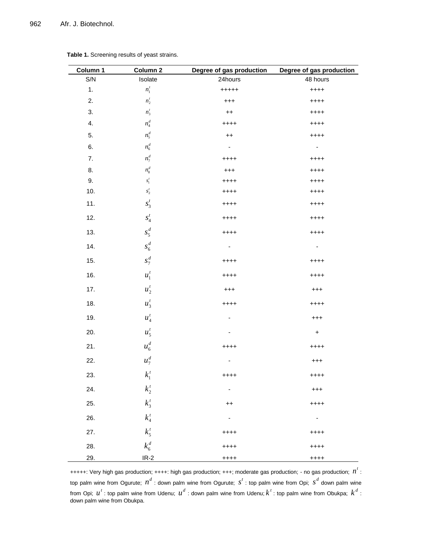| Column 1 | Column 2                                          | Degree of gas production    | Degree of gas production |
|----------|---------------------------------------------------|-----------------------------|--------------------------|
| S/N      | Isolate                                           | 24hours                     | 48 hours                 |
| 1.       | $n_1^t$                                           | $+++++$                     | $++++$                   |
| 2.       | $n_2^t$                                           | $^{+++}$                    | $++++$                   |
| 3.       | $n_3^t$                                           | $++$                        | $^{+++}$                 |
| 4.       | $n_{\scriptscriptstyle 4}^{\scriptscriptstyle d}$ | $^{+++}$                    | $++++$                   |
| 5.       | $n_5^d$                                           | $++$                        | $++++$                   |
| 6.       | $n_{\scriptscriptstyle 6}^{\scriptscriptstyle d}$ | $\blacksquare$              | $\sim$                   |
| 7.       | $n_7^d$                                           | $^{+++}$                    | $++++$                   |
| 8.       | $n_{\rm s}^d$                                     | $^{+++}$                    | $++++$                   |
| 9.       | $\boldsymbol{s}_{1}^{t}$                          | $^{+++}$                    | $++++$                   |
| 10.      | $s_2^t$                                           | $++++$                      | $++++$                   |
| 11.      | $s_3^t$                                           | $++++$                      | $++++$                   |
| 12.      | $s_4^t$                                           | $^{+++}$                    | $++++$                   |
| 13.      | $s_5^d$                                           | $++++$                      | $++++$                   |
| 14.      | $s_6^d$                                           | ۰.                          | ۰.                       |
| 15.      | $s_7^d$                                           | $+++++$                     | $++++$                   |
| 16.      | $u_1^t$                                           | $^{+++}$                    | $++++$                   |
| 17.      | $u_2^t$                                           | $^{+++}$                    | $^{+++}$                 |
| 18.      | $u_3^t$                                           | $++++$                      | $++++$                   |
| 19.      | $u_4^t$                                           | -                           | $^{+++}$                 |
| 20.      | $u_5^t$                                           |                             | $+$                      |
| 21.      | $u_6^d$                                           | $++++$                      | $++++$                   |
| 22.      | $u_7^d$                                           | -                           | $^{+++}$                 |
| 23.      | $k_1^t$                                           | $++++$                      | $++++$                   |
| 24.      | $k_{\scriptscriptstyle 2}^{\scriptscriptstyle t}$ | $\mathcal{L}_{\mathcal{A}}$ | $^{+++}$                 |
| 25.      | $k_{3}^{t}$                                       | $++$                        | $+++++$                  |
| 26.      | $k_{\scriptscriptstyle 4}^{\scriptscriptstyle t}$ | $\sim$                      | ٠                        |
| 27.      | $k_5^t$                                           | $++++$                      | $+++++$                  |
| 28.      | $k_6^d$                                           | $+++++$                     | $+++++$                  |
| 29.      | $IR-2$                                            | $++++$                      | $+++++$                  |

**Table 1.** Screening results of yeast strains.

+++++: Very high gas production; ++++: high gas production; +++; moderate gas production; - no gas production;  $n^t$ : top palm wine from Ogurute;  $n^d$ : down palm wine from Ogurute;  $s^t$ : top palm wine from Opi;  $s^d$  down palm wine from Opi;  $u^t$  : top palm wine from Udenu;  $u^d$  : down palm wine from Udenu;  $k^t$  : top palm wine from Obukpa;  $k^d$  : down palm wine from Obukpa.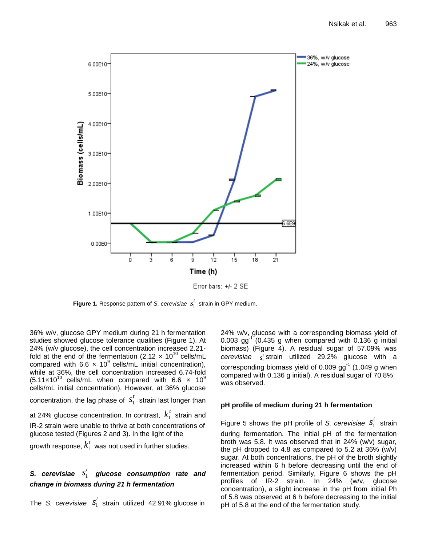

Error bars: +/- 2 SE

**Figure 1.** Response pattern of *S. cerevisiae*  $s_1^t$  strain in GPY medium.

36% w/v, glucose GPY medium during 21 h fermentation studies showed glucose tolerance qualities (Figure 1). At 24% (w/v glucose), the cell concentration increased 2.21 fold at the end of the fermentation (2.12  $\times$  10<sup>10</sup> cells/mL compared with 6.6  $\times$  10<sup>9</sup> cells/mL initial concentration), while at 36%, the cell concentration increased 6.74-fold  $(5.11 \times 10^{10} \text{ cells/mL}$  when compared with 6.6  $\times$  10<sup>9</sup> cells/mL initial concentration). However, at 36% glucose concentration, the lag phase of  $s_1^r$  $s<sub>1</sub><sup>t</sup>$  strain last longer than at 24% glucose concentration. In contrast,  $K_1^2$  $k_1^t$  strain and IR-2 strain were unable to thrive at both concentrations of glucose tested (Figures 2 and 3). In the light of the

growth response,  $k_\mathrm{l}^\mathrm{a}$  $k_1^\mathit{t}$  was not used in further studies.

# S. cerevisiae S<sub>1</sub> *t s glucose consumption rate and change in biomass during 21 h fermentation*

The *S. cerevisiae* 1  $s$ <sup> $t$ </sup> strain utilized 42.91% glucose in

24% w/v, glucose with a corresponding biomass yield of 0.003  $gg^{-1}$  (0.435 g when compared with 0.136 g initial biomass) (Figure 4). A residual sugar of 57.09% was  $c$ erevisiae  $s_i^t$ strain utilized 29.2% glucose with a corresponding biomass yield of 0.009  $gg^{-1}$  (1.049 g when compared with 0.136 g initial). A residual sugar of 70.8% was observed.

# **pH profile of medium during 21 h fermentation**

Figure 5 shows the pH profile of *S. cerevisiae*  $S_1$ <sup>'</sup>  $s_1^t$  strain during fermentation. The initial pH of the fermentation broth was 5.8. It was observed that in 24% (w/v) sugar, the pH dropped to 4.8 as compared to 5.2 at 36% (w/v) sugar. At both concentrations, the pH of the broth slightly increased within 6 h before decreasing until the end of fermentation period. Similarly, Figure 6 shows the pH profiles of IR-2 strain. In 24% (w/v, glucose concentration), a slight increase in the pH from initial Ph of 5.8 was observed at 6 h before decreasing to the initial pH of 5.8 at the end of the fermentation study.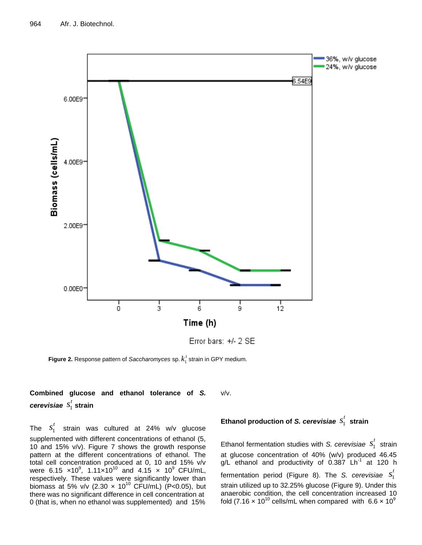

**Figure 2.** Response pattern of *Saccharomyces* sp.  $k_1^t$  strain in GPY medium.

#### **Combined glucose and ethanol tolerance of** *S. cerevisiae* 1  $s_1^t$  strain v/v.

The  $s_1^{\cdot}$  $s<sub>1</sub><sup>t</sup>$  strain was cultured at 24% w/v glucose supplemented with different concentrations of ethanol (5, 10 and 15% v/v). Figure 7 shows the growth response pattern at the different concentrations of ethanol. The total cell concentration produced at 0, 10 and 15% v/v were 6.15  $\times$ 10<sup>9</sup>, 1.11 $\times$ 10<sup>10</sup> and 4.15  $\times$  10<sup>9</sup> CFU/mL, respectively. These values were significantly lower than biomass at 5% v/v  $(2.30 \times 10^{10} \text{ CFU/mL})$   $(P<0.05)$ , but there was no significant difference in cell concentration at 0 (that is, when no ethanol was supplemented) and 15%

**Ethanol production of** *S. cerevisiae*  1  $s_1^t$  strain

Ethanol fermentation studies with *S. cerevisiae*  $S_1$ <sup>'</sup>  $s_1^t$  strain at glucose concentration of 40% (w/v) produced 46.45 g/L ethanol and productivity of 0.387 Lh<sup>-1</sup> at 120 h fermentation period (Figure 8). The *S. cerevisiae* 1  $s_1^t$ strain utilized up to 32.25% glucose (Figure 9). Under this anaerobic condition, the cell concentration increased 10 fold  $(7.16 \times 10^{10} \text{ cells/mL}$  when compared with  $6.6 \times 10^9$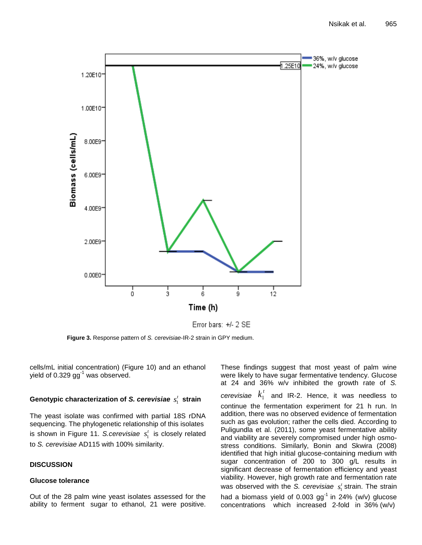

Error bars: +/- 2 SE

**Figure 3.** Response pattern of *S. cerevisiae*-IR-2 strain in GPY medium.

cells/mL initial concentration) (Figure 10) and an ethanol yield of  $0.329$  gg<sup>-1</sup> was observed.

# Genotypic characterization of *S. cerevisiae*  $s^t_1$  *s*train

The yeast isolate was confirmed with partial 18S rDNA sequencing. The phylogenetic relationship of this isolates is shown in Figure 11. S.cerevisiae  $s_i^t$  is closely related to *S. cerevisiae* AD115 with 100% similarity.

# **DISCUSSION**

# **Glucose tolerance**

Out of the 28 palm wine yeast isolates assessed for the ability to ferment sugar to ethanol, 21 were positive.

These findings suggest that most yeast of palm wine were likely to have sugar fermentative tendency. Glucose at 24 and 36% w/v inhibited the growth rate of *S.*   $c$ erevisiae  $k_1$ <sup>\*</sup>  $k_1^t$  and IR-2. Hence, it was needless to continue the fermentation experiment for 21 h run. In addition, there was no observed evidence of fermentation such as gas evolution; rather the cells died. According to Puligundla et al. (2011), some yeast fermentative ability and viability are severely compromised under high osmostress conditions. Similarly, Bonin and Skwira (2008) identified that high initial glucose-containing medium with sugar concentration of 200 to 300 g/L results in significant decrease of fermentation efficiency and yeast viability. However, high growth rate and fermentation rate was observed with the *S. cerevisiae*  $s_i^t$  strain. The strain had a biomass yield of 0.003  $gg^{-1}$  in 24% (w/v) glucose concentrations which increased 2-fold in 36% (w/v)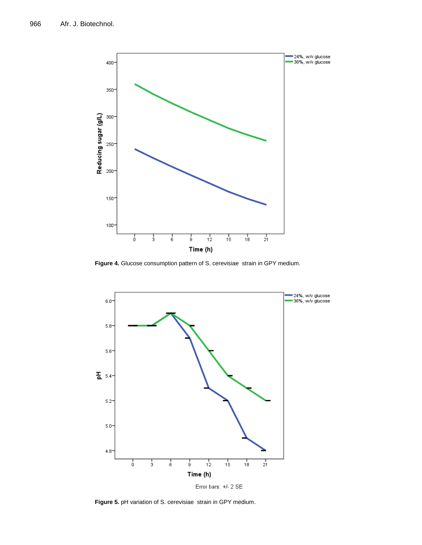

**Figure 4.** Glucose consumption pattern of S. cerevisiae strain in GPY medium.



Error bars: +/- 2 SE

**Figure 5.** pH variation of S. cerevisiae strain in GPY medium.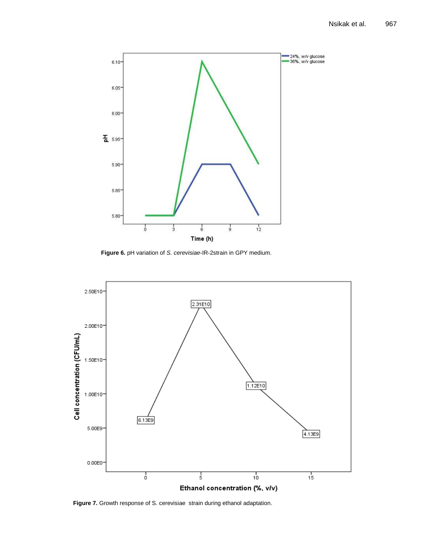

**Figure 6.** pH variation of *S. cerevisiae*-IR-2strain in GPY medium.



**Figure 7.** Growth response of S. cerevisiae strain during ethanol adaptation.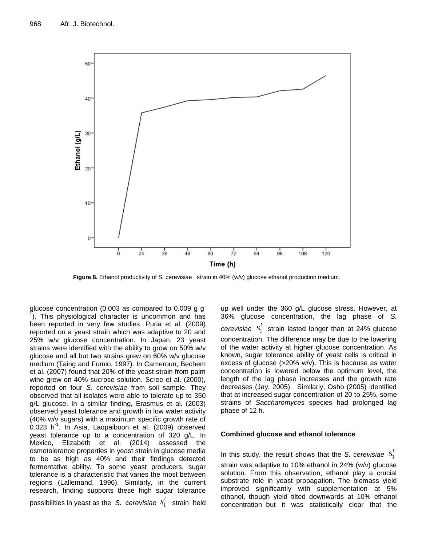

**Figure 8.** Ethanol productivity of S. cerevisiae strain in 40% (w/v) glucose ethanol production medium.

glucose concentration (0.003 as compared to 0.009 g g- $\tilde{I}$ ). This physiological character is uncommon and has been reported in very few studies. Puria et al. (2009) reported on a yeast strain which was adaptive to 20 and 25% w/v glucose concentration. In Japan, 23 yeast strains were identified with the ability to grow on 50% w/v glucose and all but two strains grew on 60% w/v glucose medium (Taing and Fumio, 1997). In Cameroun, Bechem et al. (2007) found that 20% of the yeast strain from palm wine grew on 40% sucrose solution. Scree et al. (2000), reported on four *S. cerevisiae* from soil sample. They observed that all isolates were able to tolerate up to 350 g/L glucose. In a similar finding, Erasmus et al. (2003) observed yeast tolerance and growth in low water activity (40% w/v sugars) with a maximum specific growth rate of  $0.023$  h<sup>-1</sup>. In Asia, Laopaiboon et al. (2009) observed yeast tolerance up to a concentration of 320 g/L. In Mexico, Elizabeth et al. (2014) assessed the osmotolerance properties in yeast strain in glucose media to be as high as 40% and their findings detected fermentative ability. To some yeast producers, sugar tolerance is a characteristic that varies the most between regions (Lallemand, 1996). Similarly, in the current research, finding supports these high sugar tolerance

possibilities in yeast as the *S. cerevisiae* 1  $s<sub>1</sub><sup>t</sup>$  strain held up well under the 360 g/L glucose stress. However, at 36% glucose concentration, the lag phase of *S. cerevisiae* 1  $s<sub>1</sub><sup>t</sup>$  strain lasted longer than at 24% glucose concentration. The difference may be due to the lowering of the water activity at higher glucose concentration. As known, sugar tolerance ability of yeast cells is critical in excess of glucose (>20% w/v). This is because as water concentration is lowered below the optimum level, the length of the lag phase increases and the growth rate decreases (Jay, 2005). Similarly, Osho (2005) identified that at increased sugar concentration of 20 to 25%, some strains of *Saccharomyces* species had prolonged lag phase of 12 h.

# **Combined glucose and ethanol tolerance**

In this study, the result shows that the *S. cerevisiae*  $s_1$ <sup>'</sup>  $s_1^t$ strain was adaptive to 10% ethanol in 24% (w/v) glucose solution. From this observation, ethanol play a crucial substrate role in yeast propagation. The biomass yield improved significantly with supplementation at 5% ethanol, though yield tilted downwards at 10% ethanol concentration but it was statistically clear that the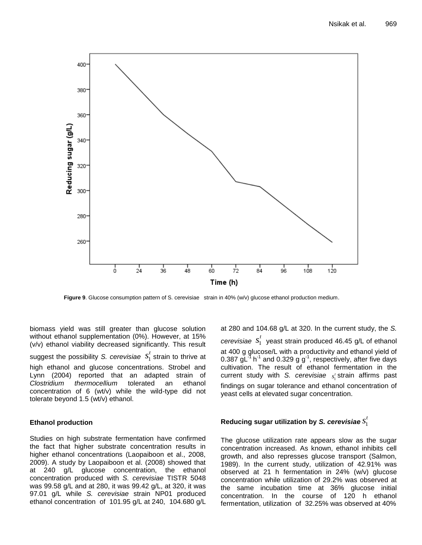

**Figure 9**. Glucose consumption pattern of S. cerevisiae strain in 40% (w/v) glucose ethanol production medium.

biomass yield was still greater than glucose solution without ethanol supplementation (0%). However, at 15% (v/v) ethanol viability decreased significantly. This result

suggest the possibility *S. cerevisiae*  $s_1^{\cdot}$  $s<sub>1</sub><sup>t</sup>$  strain to thrive at high ethanol and glucose concentrations. Strobel and Lynn (2004) reported that an adapted strain of *Clostridium thermocellium* tolerated an ethanol concentration of 6 (wt/v) while the wild-type did not tolerate beyond 1.5 (wt/v) ethanol.

# **Ethanol production**

Studies on high substrate fermentation have confirmed the fact that higher substrate concentration results in higher ethanol concentrations (Laopaiboon et al., 2008, 2009). A study by Laopaiboon et al. (2008) showed that at 240 g/L glucose concentration, the ethanol concentration produced with *S. cerevisiae* TISTR 5048 was 99.58 g/L and at 280, it was 99.42 g/L, at 320, it was 97.01 g/L while *S. cerevisiae* strain NP01 produced ethanol concentration of 101.95 g/L at 240, 104.680 g/L

at 280 and 104.68 g/L at 320. In the current study, the *S. cerevisiae* 1  $s$ <sup> $t$ </sup> yeast strain produced 46.45 g/L of ethanol at 400 g glucose/L with a productivity and ethanol yield of 0.387  $\mathrm{gl}^{1}$  h<sup>-1</sup> and 0.329 g g<sup>-1</sup>, respectively, after five days cultivation. The result of ethanol fermentation in the current study with *S. cerevisiae* 1 *t s* strain affirms past findings on sugar tolerance and ethanol concentration of yeast cells at elevated sugar concentration.

#### **Reducing sugar utilization by** *S. cerevisiae* 1  $s_1^t$

The glucose utilization rate appears slow as the sugar concentration increased. As known, ethanol inhibits cell growth, and also represses glucose transport (Salmon, 1989). In the current study, utilization of 42.91% was observed at 21 h fermentation in 24% (w/v) glucose concentration while utilization of 29.2% was observed at the same incubation time at 36% glucose initial concentration. In the course of 120 h ethanol fermentation, utilization of 32.25% was observed at 40%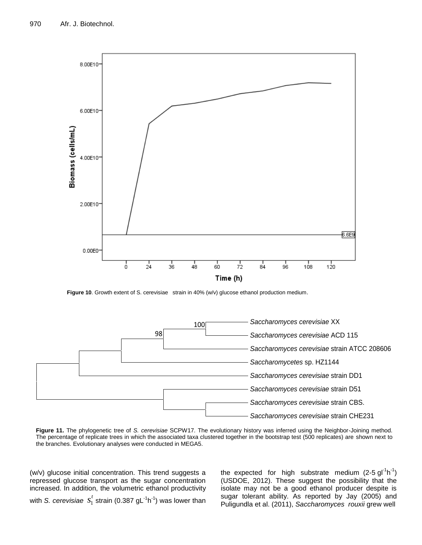

**Figure 10.** Growth extent of S. cerevisiae strain in 40% (w/v) glucose ethanol production medium.



**Figure 11.** The phylogenetic tree of *S. cerevisiae* SCPW17. The evolutionary history was inferred using the Neighbor-Joining method. The percentage of replicate trees in which the associated taxa clustered together in the bootstrap test (500 replicates) are shown next to the branches. Evolutionary analyses were conducted in MEGA5.

(w/v) glucose initial concentration. This trend suggests a repressed glucose transport as the sugar concentration increased. In addition, the volumetric ethanol productivity

with *S. cerevisiae* 1  $s_{\textrm{1}}^{\textrm{t}}$  strain (0.387 gL<sup>-1</sup>h<sup>-1</sup>) was lower than

the expected for high substrate medium  $(2-5)$  gl<sup>-1</sup>h<sup>-1</sup>) (USDOE, 2012). These suggest the possibility that the isolate may not be a good ethanol producer despite is sugar tolerant ability. As reported by Jay (2005) and Puligundla et al. (2011), *Saccharomyces rouxii* grew well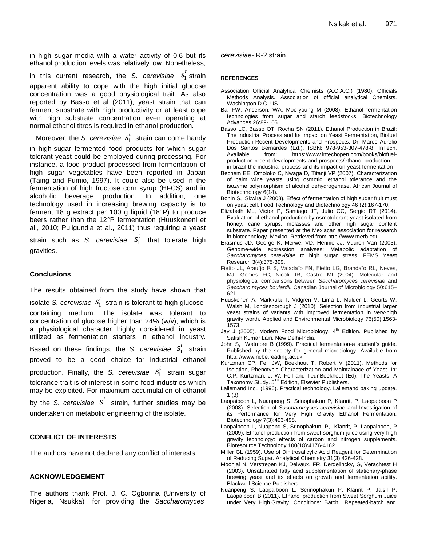in high sugar media with a water activity of 0.6 but its ethanol production levels was relatively low. Nonetheless,

in this current research, the *S. cerevisiae*  $s_1$ <sup>\*</sup>  $s<sub>1</sub><sup>t</sup>$  strain apparent ability to cope with the high initial glucose concentration was a good physiological trait. As also reported by Basso et al (2011), yeast strain that can ferment substrate with high productivity or at least cope with high substrate concentration even operating at normal ethanol titres is required in ethanol production.

Moreover, the *S. cerevisiae* 1  $s$ <sup> $<sup>t</sup>$ </sup> strain can come handy</sup>

in high-sugar fermented food products for which sugar tolerant yeast could be employed during processing. For instance, a food product processed from fermentation of high sugar vegetables have been reported in Japan (Taing and Fumio, 1997). It could also be used in the fermentation of high fructose corn syrup (HFCS) and in alcoholic beverage production. In addition, one technology used in increasing brewing capacity is to ferment 18 g extract per 100 g liquid (18°P) to produce beers rather than the 12°P fermentation (Huuskoneni et al., 2010; Puligundla et al., 2011) thus requiring a yeast

strain such as *S. cerevisiae* 1  $s$ <sup>t</sup> that tolerate high gravities.

# **Conclusions**

The results obtained from the study have shown that isolate *S. cerevisiae* 1  $s<sub>1</sub><sup>t</sup>$  strain is tolerant to high glucosecontaining medium. The isolate was tolerant to concentration of glucose higher than 24% (w/v), which is a physiological character highly considered in yeast utilized as fermentation starters in ethanol industry. Based on these findings, the *S. cerevisiae* 1  $s<sub>1</sub><sup>t</sup>$  strain proved to be a good choice for industrial ethanol production. Finally, the *S. cerevisiae* 1  $s<sub>1</sub><sup>t</sup>$  strain sugar tolerance trait is of interest in some food industries which may be exploited. For maximum accumulation of ethanol by the *S. cerevisiae* 1  $s_i^t$  strain, further studies may be undertaken on metabolic engineering of the isolate.

# **CONFLICT OF INTERESTS**

The authors have not declared any conflict of interests.

# **ACKNOWLEDGEMENT**

The authors thank Prof. J. C. Ogbonna (University of Nigeria, Nsukka) for providing the *Saccharomyces*

*cerevisiae*-IR-2 strain.

# **REFERENCES**

- Association Official Analytical Chemists (A.O.A.C.) (1980). Officials Methods Analysis*.* Association of official analytical Chemists. Washington D.C. US.
- Bai FW, Anserson, WA, Moo-young M (2008). Ethanol fermentation technologies from sugar and starch feedstocks. Biotechnology Advances 26:89-105.
- Basso LC, Basso OT, Rocha SN (2011). Ethanol Production in Brazil: The Industrial Process and Its Impact on Yeast Fermentation, Biofuel Production-Recent Developments and Prospects, Dr. Marco Aurelio Dos Santos Bernardes (Ed.), ISBN: 978-953-307-478-8, InTech, Available from: https://www.intechopen.com/books/biofuelproduction-recent-developments-and-prospects/ethanol-productionin-brazil-the-industrial-process-and-its-impact-on-yeast-fermentation
- Bechem EE, Omoloko C, Nwaga D, Titanji VP (2007). Characterization of palm wine yeasts using osmotic, ethanol tolerance and the isozyme polymorphism of alcohol dehydrogenase. African Journal of Biotechnology 6(14).
- Bonin S, Skwira J (2008). Effect of fermentation of high sugar fruit must on yeast cell. Food Technology and Biotechnology 46 (2):167-170.
- Elizabeth ML, Victor P, Santiago JT, Julio CC, Sergio RT (2014). Evaluation of ethanol production by osmotolerant yeast isolated from honey, cane syrups, molasses and other high sugar content substrate. Paper presented at the Mexiacan association for research in biotechnology. Mexico. Retrieved from http://www.merb.edu.
- Erasmus JD, George K, Merwe, VD, Hennie JJ, Vuuren Van (2003). Genome-wide expression analyses: Metabolic adaptation of *Saccharomyces cerevisiae* to high sugar stress. FEMS Yeast Research 3(4):375-399.
- Fietto JL, Arau´jo R S, Valada˜o FN, Fietto LG, Branda˜o RL, Neves, MJ, Gomes FC, Nicoli JR, Castro MI (2004). Molecular and physiological comparisons between *Saccharomyces cerevisiae* and *Saccharo myces boulardii.* Canadian Journal of Microbiology 50:615– 621.
- Huuskonen A, Markkula T, Vidgren V, Lima L, Mulder L, Geurts W, Walsh M, Londesborough J (2010). Selection from industrial larger yeast strains of variants with improved fermentation in very-high gravity worth. Applied and Environmental Microbiology 76(50):1563- 1573.
- Jay J (2005). Modern Food Microbiology.  $4<sup>th</sup>$  Edition. Published by Satish Kumar Lairi. New Delhi-India.
- John S, Watmore B (1999). Practical fermentation-a student's guide. Published by the society for general microbiology. Available from http: //www.ncbe.reading.ac.uk.
- Kurtzman CP, Fell JW, Boekhout T, Robert V (2011). Methods for Isolation, Phenotypic Characterization and Maintainace of Yeast. In: C.P. Kurtzman, J. W. Fell and TeunBoekhout (Ed). The Yeasts, A Taxonomy Study. 5TH Edition, Elsevier Publishers.
- Lallemand Inc., (1996). Practical technology. Lallemand baking update. 1 (3).
- Laopaiboon L, Nuanpeng S, Srinophakun P, Klanrit, P, Laopaiboon P (2008). Selection of *Saccharomyces cerevisiae* and Investigation of its Performance for Very High Gravity Ethanol Fermentation. Biotechnology 7(3):493-498.
- Laopaiboon L, Nuapeng S, Srinophakun, P, Klanrit, P, Laopaiboon, P (2009). Ethanol production from sweet sorghum juice using very high gravity technology: effects of carbon and nitrogen supplements. Bioresource Technology 100(18):4176-4162.
- Miller GL (1959). Use of Dinitrosalicylic Acid Reagent for Determination of Reducing Sugar. Analytical Chemistry 31(3):426-428.
- Moonjai N, Verstrepen KJ, Delvaux, FR, Derdelincky, G, Verachtest H (2003). Unsaturated fatty acid supplementation of stationary-phase brewing yeast and its effects on growth and fermentation ability. Blackwell Science Publishers.
- Nuanpeng S, Laopaiboon L, Scrinophakun P, Klanrit P, Jaisil P, Laopaiboon B (2011). Ethanol production from Sweet Sorghum Juice under Very High Gravity Conditions: Batch, Repeated-batch and